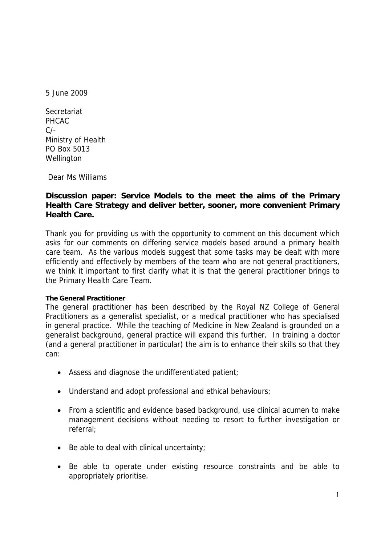5 June 2009

**Secretariat** PHCAC  $C/-$ Ministry of Health PO Box 5013 Wellington

Dear Ms Williams

## **Discussion paper: Service Models to the meet the aims of the Primary Health Care Strategy and deliver better, sooner, more convenient Primary Health Care.**

Thank you for providing us with the opportunity to comment on this document which asks for our comments on differing service models based around a primary health care team. As the various models suggest that some tasks may be dealt with more efficiently and effectively by members of the team who are not general practitioners, we think it important to first clarify what it is that the general practitioner brings to the Primary Health Care Team.

## **The General Practitioner**

The general practitioner has been described by the Royal NZ College of General Practitioners as a generalist specialist, or a medical practitioner who has specialised in general practice. While the teaching of Medicine in New Zealand is grounded on a generalist background, general practice will expand this further. In training a doctor (and a general practitioner in particular) the aim is to enhance their skills so that they can:

- Assess and diagnose the undifferentiated patient;
- Understand and adopt professional and ethical behaviours;
- From a scientific and evidence based background, use clinical acumen to make management decisions without needing to resort to further investigation or referral;
- Be able to deal with clinical uncertainty;
- Be able to operate under existing resource constraints and be able to appropriately prioritise.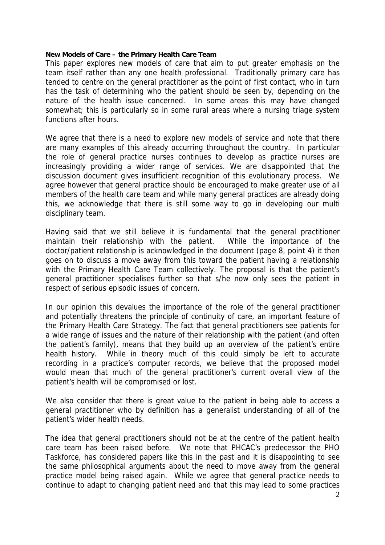## **New Models of Care – the Primary Health Care Team**

This paper explores new models of care that aim to put greater emphasis on the team itself rather than any one health professional. Traditionally primary care has tended to centre on the general practitioner as the point of first contact, who in turn has the task of determining who the patient should be seen by, depending on the nature of the health issue concerned. In some areas this may have changed somewhat; this is particularly so in some rural areas where a nursing triage system functions after hours.

We agree that there is a need to explore new models of service and note that there are many examples of this already occurring throughout the country. In particular the role of general practice nurses continues to develop as practice nurses are increasingly providing a wider range of services. We are disappointed that the discussion document gives insufficient recognition of this evolutionary process. We agree however that general practice should be encouraged to make greater use of all members of the health care team and while many general practices are already doing this, we acknowledge that there is still some way to go in developing our multi disciplinary team.

Having said that we still believe it is fundamental that the general practitioner maintain their relationship with the patient. While the importance of the doctor/patient relationship is acknowledged in the document (page 8, point 4) it then goes on to discuss a move away from this toward the patient having a relationship with the Primary Health Care Team collectively. The proposal is that the patient's general practitioner specialises further so that s/he now only sees the patient in respect of serious episodic issues of concern.

In our opinion this devalues the importance of the role of the general practitioner and potentially threatens the principle of continuity of care, an important feature of the Primary Health Care Strategy. The fact that general practitioners see patients for a wide range of issues and the nature of their relationship with the patient (and often the patient's family), means that they build up an overview of the patient's entire health history. While in theory much of this could simply be left to accurate recording in a practice's computer records, we believe that the proposed model would mean that much of the general practitioner's current overall view of the patient's health will be compromised or lost.

We also consider that there is great value to the patient in being able to access a general practitioner who by definition has a generalist understanding of all of the patient's wider health needs.

The idea that general practitioners should not be at the centre of the patient health care team has been raised before. We note that PHCAC's predecessor the PHO Taskforce, has considered papers like this in the past and it is disappointing to see the same philosophical arguments about the need to move away from the general practice model being raised again. While we agree that general practice needs to continue to adapt to changing patient need and that this may lead to some practices